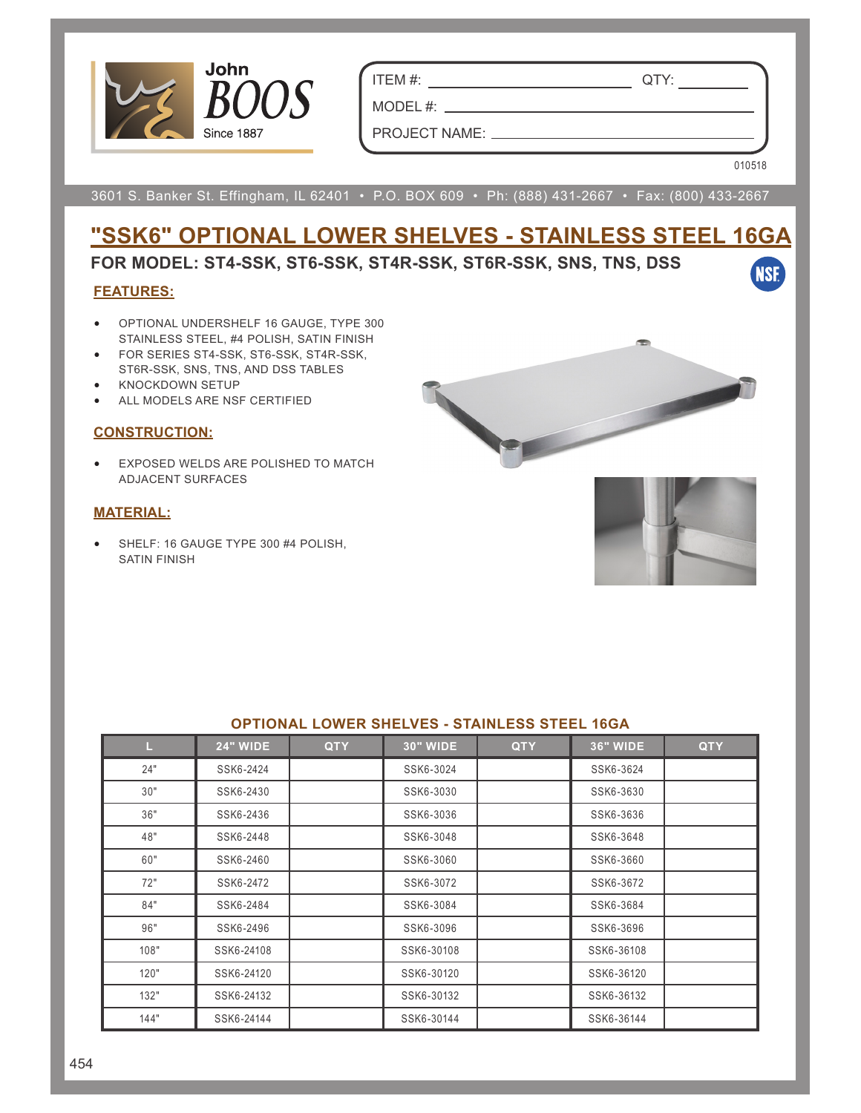

ITEM #: QTY:

MODEL #:  $\_\_$ 

PROJECT NAME:

010518

**NSF** 

3601 S. Banker St. Effingham, IL 62401 • P.O. BOX 609 • Ph: (888) 431-2667 • Fax: (800) 433-2667

# **"SSK6" OPTIONAL LOWER SHELVES - STAINLESS STEEL 16GA**

### **FOR MODEL: ST4-SSK, ST6-SSK, ST4R-SSK, ST6R-SSK, SNS, TNS, DSS**

#### **FEATURES:**

- OPTIONAL UNDERSHELF 16 GAUGE, TYPE 300 STAINLESS STEEL, #4 POLISH, SATIN FINISH
- FOR SERIES ST4-SSK, ST6-SSK, ST4R-SSK, ST6R-SSK, SNS, TNS, AND DSS TABLES
- KNOCKDOWN SETUP
- ALL MODELS ARE NSF CERTIFIED

#### **CONSTRUCTION:**

• EXPOSED WELDS ARE POLISHED TO MATCH ADJACENT SURFACES

#### **MATERIAL:**

• SHELF: 16 GAUGE TYPE 300 #4 POLISH, SATIN FINISH



| UI TIUNAL LUMEN UHLLVLU - UTAINLLUU UTLLL TUUA |                 |            |                 |            |                 |            |  |  |  |  |
|------------------------------------------------|-----------------|------------|-----------------|------------|-----------------|------------|--|--|--|--|
| L.                                             | <b>24" WIDE</b> | <b>QTY</b> | <b>30" WIDE</b> | <b>QTY</b> | <b>36" WIDE</b> | <b>QTY</b> |  |  |  |  |
| 24"                                            | SSK6-2424       |            | SSK6-3024       |            | SSK6-3624       |            |  |  |  |  |
| 30"                                            | SSK6-2430       |            | SSK6-3030       |            | SSK6-3630       |            |  |  |  |  |
| 36"                                            | SSK6-2436       |            | SSK6-3036       |            | SSK6-3636       |            |  |  |  |  |
| 48"                                            | SSK6-2448       |            | SSK6-3048       |            | SSK6-3648       |            |  |  |  |  |
| 60"                                            | SSK6-2460       |            | SSK6-3060       |            | SSK6-3660       |            |  |  |  |  |
| 72"                                            | SSK6-2472       |            | SSK6-3072       |            | SSK6-3672       |            |  |  |  |  |
| 84"                                            | SSK6-2484       |            | SSK6-3084       |            | SSK6-3684       |            |  |  |  |  |
| 96"                                            | SSK6-2496       |            | SSK6-3096       |            | SSK6-3696       |            |  |  |  |  |
| 108"                                           | SSK6-24108      |            | SSK6-30108      |            | SSK6-36108      |            |  |  |  |  |
| 120"                                           | SSK6-24120      |            | SSK6-30120      |            | SSK6-36120      |            |  |  |  |  |
| 132"                                           | SSK6-24132      |            | SSK6-30132      |            | SSK6-36132      |            |  |  |  |  |
| 144"                                           | SSK6-24144      |            | SSK6-30144      |            | SSK6-36144      |            |  |  |  |  |

#### **OPTIONAL LOWER SHELVES - STAINLESS STEEL 16GA**